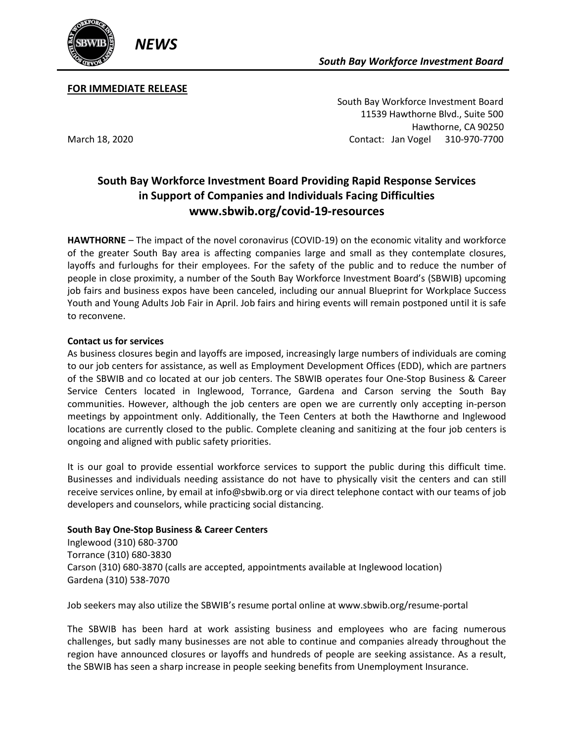

# **FOR IMMEDIATE RELEASE**

South Bay Workforce Investment Board 11539 Hawthorne Blvd., Suite 500 Hawthorne, CA 90250 March 18, 2020 Contact: Jan Vogel 310-970-7700

**South Bay Workforce Investment Board Providing Rapid Response Services in Support of Companies and Individuals Facing Difficulties www.sbwib.org/covid-19-resources**

**HAWTHORNE** – The impact of the novel coronavirus (COVID-19) on the economic vitality and workforce of the greater South Bay area is affecting companies large and small as they contemplate closures, layoffs and furloughs for their employees. For the safety of the public and to reduce the number of people in close proximity, a number of the South Bay Workforce Investment Board's (SBWIB) upcoming job fairs and business expos have been canceled, including our annual Blueprint for Workplace Success Youth and Young Adults Job Fair in April. Job fairs and hiring events will remain postponed until it is safe to reconvene.

### **Contact us for services**

As business closures begin and layoffs are imposed, increasingly large numbers of individuals are coming to our job centers for assistance, as well as Employment Development Offices (EDD), which are partners of the SBWIB and co located at our job centers. The SBWIB operates four One-Stop Business & Career Service Centers located in Inglewood, Torrance, Gardena and Carson serving the South Bay communities. However, although the job centers are open we are currently only accepting in-person meetings by appointment only. Additionally, the Teen Centers at both the Hawthorne and Inglewood locations are currently closed to the public. Complete cleaning and sanitizing at the four job centers is ongoing and aligned with public safety priorities.

It is our goal to provide essential workforce services to support the public during this difficult time. Businesses and individuals needing assistance do not have to physically visit the centers and can still receive services online, by email at info@sbwib.org or via direct telephone contact with our teams of job developers and counselors, while practicing social distancing.

### **South Bay One-Stop Business & Career Centers**

Inglewood (310) 680-3700 Torrance (310) 680-3830 Carson (310) 680-3870 (calls are accepted, appointments available at Inglewood location) Gardena (310) 538-7070

Job seekers may also utilize the SBWIB's resume portal online at www.sbwib.org/resume-portal

The SBWIB has been hard at work assisting business and employees who are facing numerous challenges, but sadly many businesses are not able to continue and companies already throughout the region have announced closures or layoffs and hundreds of people are seeking assistance. As a result, the SBWIB has seen a sharp increase in people seeking benefits from Unemployment Insurance.